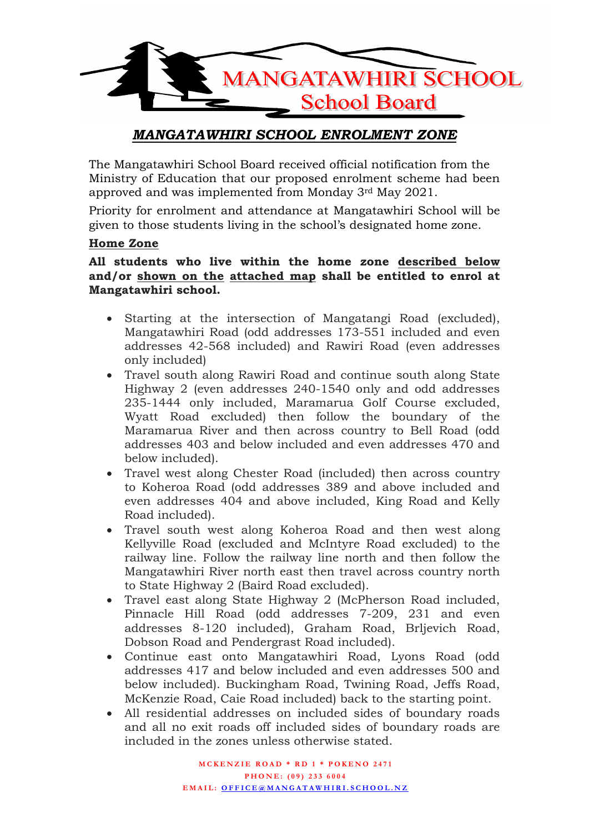

# *MANGATAWHIRI SCHOOL ENROLMENT ZONE*

The Mangatawhiri School Board received official notification from the Ministry of Education that our proposed enrolment scheme had been approved and was implemented from Monday 3rd May 2021.

Priority for enrolment and attendance at Mangatawhiri School will be given to those students living in the school's designated home zone.

## **Home Zone**

## **All students who live within the home zone described below and/or shown on the attached map shall be entitled to enrol at Mangatawhiri school.**

- Starting at the intersection of Mangatangi Road (excluded), Mangatawhiri Road (odd addresses 173-551 included and even addresses 42-568 included) and Rawiri Road (even addresses only included)
- Travel south along Rawiri Road and continue south along State Highway 2 (even addresses 240-1540 only and odd addresses 235-1444 only included, Maramarua Golf Course excluded, Wyatt Road excluded) then follow the boundary of the Maramarua River and then across country to Bell Road (odd addresses 403 and below included and even addresses 470 and below included).
- Travel west along Chester Road (included) then across country to Koheroa Road (odd addresses 389 and above included and even addresses 404 and above included, King Road and Kelly Road included).
- Travel south west along Koheroa Road and then west along Kellyville Road (excluded and McIntyre Road excluded) to the railway line. Follow the railway line north and then follow the Mangatawhiri River north east then travel across country north to State Highway 2 (Baird Road excluded).
- Travel east along State Highway 2 (McPherson Road included, Pinnacle Hill Road (odd addresses 7-209, 231 and even addresses 8-120 included), Graham Road, Brljevich Road, Dobson Road and Pendergrast Road included).
- Continue east onto Mangatawhiri Road, Lyons Road (odd addresses 417 and below included and even addresses 500 and below included). Buckingham Road, Twining Road, Jeffs Road, McKenzie Road, Caie Road included) back to the starting point.
- All residential addresses on included sides of boundary roads and all no exit roads off included sides of boundary roads are included in the zones unless otherwise stated.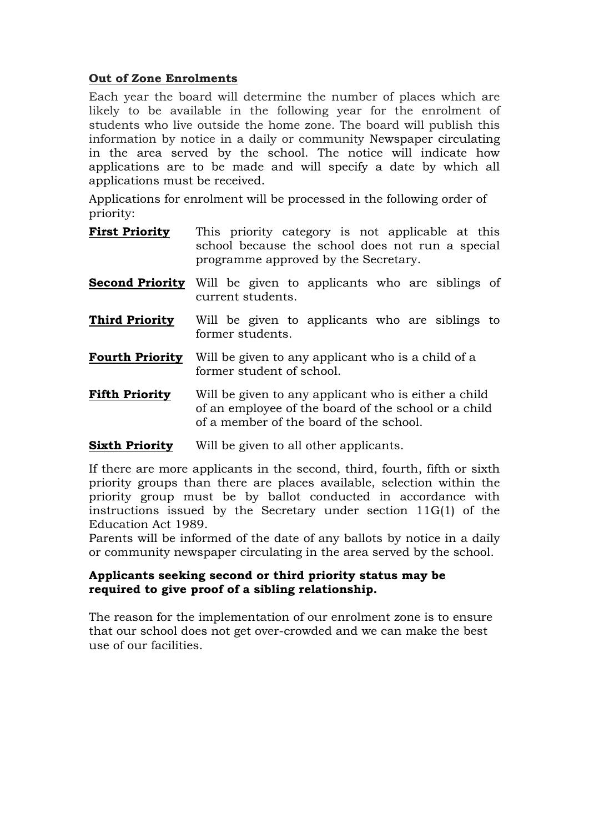## **Out of Zone Enrolments**

Each year the board will determine the number of places which are likely to be available in the following year for the enrolment of students who live outside the home zone. The board will publish this information by notice in a daily or community Newspaper circulating in the area served by the school. The notice will indicate how applications are to be made and will specify a date by which all applications must be received.

Applications for enrolment will be processed in the following order of priority:

- **First Priority** This priority category is not applicable at this school because the school does not run a special programme approved by the Secretary.
- **Second Priority** Will be given to applicants who are siblings of current students.
- **Third Priority** Will be given to applicants who are siblings to former students.
- **Fourth Priority** Will be given to any applicant who is a child of a former student of school.
- **Fifth Priority** Will be given to any applicant who is either a child of an employee of the board of the school or a child of a member of the board of the school.

## **Sixth Priority** Will be given to all other applicants.

If there are more applicants in the second, third, fourth, fifth or sixth priority groups than there are places available, selection within the priority group must be by ballot conducted in accordance with instructions issued by the Secretary under section 11G(1) of the Education Act 1989.

Parents will be informed of the date of any ballots by notice in a daily or community newspaper circulating in the area served by the school.

## **Applicants seeking second or third priority status may be required to give proof of a sibling relationship.**

The reason for the implementation of our enrolment zone is to ensure that our school does not get over-crowded and we can make the best use of our facilities.